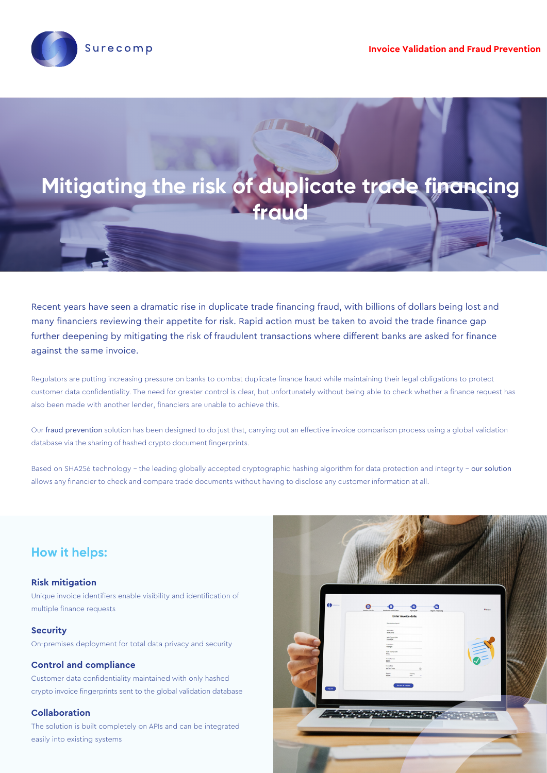



Recent years have seen a dramatic rise in duplicate trade financing fraud, with billions of dollars being lost and many financiers reviewing their appetite for risk. Rapid action must be taken to avoid the trade finance gap further deepening by mitigating the risk of fraudulent transactions where different banks are asked for finance against the same invoice.

Regulators are putting increasing pressure on banks to combat duplicate finance fraud while maintaining their legal obligations to protect customer data confidentiality. The need for greater control is clear, but unfortunately without being able to check whether a finance request has also been made with another lender, financiers are unable to achieve this.

Our fraud prevention solution has been designed to do just that, carrying out an effective invoice comparison process using a global validation database via the sharing of hashed crypto document fingerprints.

Based on SHA256 technology - the leading globally accepted cryptographic hashing algorithm for data protection and integrity - our solution allows any financier to check and compare trade documents without having to disclose any customer information at all.

# **How it helps:**

## **Risk mitigation**

Unique invoice identifiers enable visibility and identification of multiple finance requests

### **Security**

On-premises deployment for total data privacy and security

### **Control and compliance**

Customer data confidentiality maintained with only hashed crypto invoice fingerprints sent to the global validation database

### **Collaboration**

The solution is built completely on APIs and can be integrated easily into existing systems